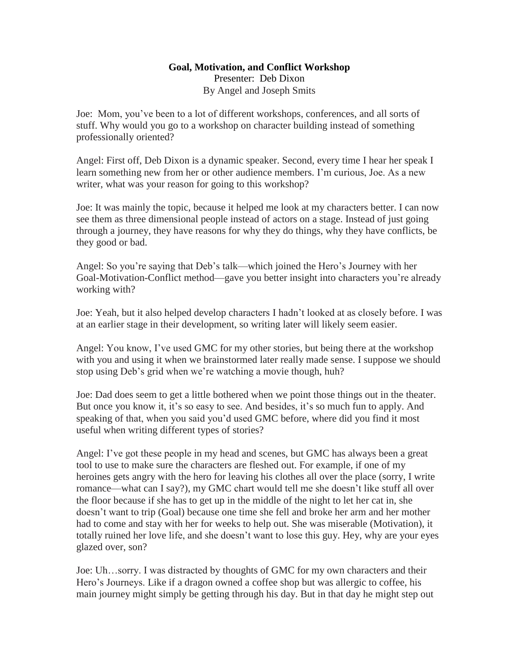## **Goal, Motivation, and Conflict Workshop** Presenter: Deb Dixon By Angel and Joseph Smits

Joe: Mom, you've been to a lot of different workshops, conferences, and all sorts of stuff. Why would you go to a workshop on character building instead of something professionally oriented?

Angel: First off, Deb Dixon is a dynamic speaker. Second, every time I hear her speak I learn something new from her or other audience members. I'm curious, Joe. As a new writer, what was your reason for going to this workshop?

Joe: It was mainly the topic, because it helped me look at my characters better. I can now see them as three dimensional people instead of actors on a stage. Instead of just going through a journey, they have reasons for why they do things, why they have conflicts, be they good or bad.

Angel: So you're saying that Deb's talk—which joined the Hero's Journey with her Goal-Motivation-Conflict method—gave you better insight into characters you're already working with?

Joe: Yeah, but it also helped develop characters I hadn't looked at as closely before. I was at an earlier stage in their development, so writing later will likely seem easier.

Angel: You know, I've used GMC for my other stories, but being there at the workshop with you and using it when we brainstormed later really made sense. I suppose we should stop using Deb's grid when we're watching a movie though, huh?

Joe: Dad does seem to get a little bothered when we point those things out in the theater. But once you know it, it's so easy to see. And besides, it's so much fun to apply. And speaking of that, when you said you'd used GMC before, where did you find it most useful when writing different types of stories?

Angel: I've got these people in my head and scenes, but GMC has always been a great tool to use to make sure the characters are fleshed out. For example, if one of my heroines gets angry with the hero for leaving his clothes all over the place (sorry, I write romance—what can I say?), my GMC chart would tell me she doesn't like stuff all over the floor because if she has to get up in the middle of the night to let her cat in, she doesn't want to trip (Goal) because one time she fell and broke her arm and her mother had to come and stay with her for weeks to help out. She was miserable (Motivation), it totally ruined her love life, and she doesn't want to lose this guy. Hey, why are your eyes glazed over, son?

Joe: Uh…sorry. I was distracted by thoughts of GMC for my own characters and their Hero's Journeys. Like if a dragon owned a coffee shop but was allergic to coffee, his main journey might simply be getting through his day. But in that day he might step out